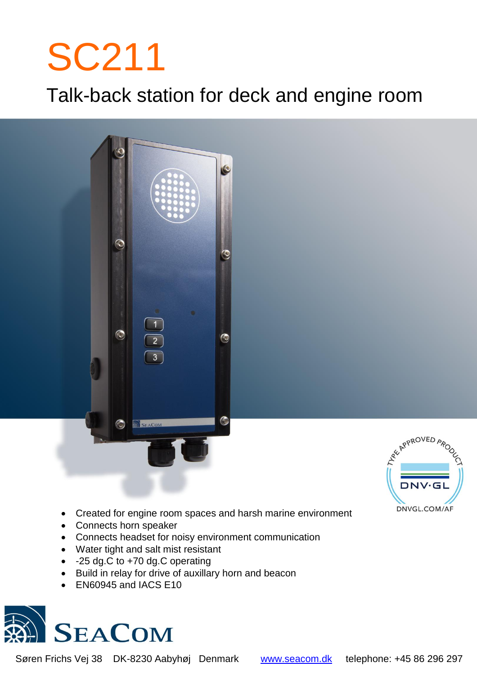# SC211

Talk-back station for deck and engine room



- Created for engine room spaces and harsh marine environment
- Connects horn speaker
- Connects headset for noisy environment communication
- Water tight and salt mist resistant
- -25 dg.C to +70 dg.C operating
- Build in relay for drive of auxillary horn and beacon
- EN60945 and IACS E10



Søren Frichs Vej 38 DK-8230 Aabyhøj Denmark [www.seacom.dk](http://www.seacom.dk/) telephone: +45 86 296 297